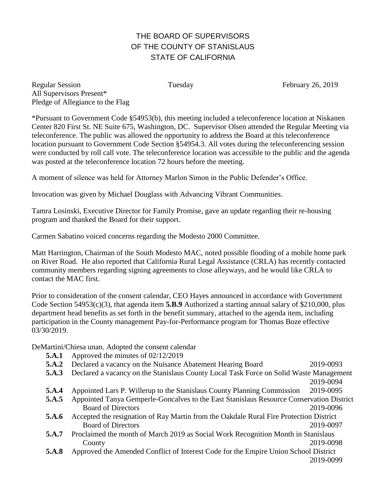# THE BOARD OF SUPERVISORS OF THE COUNTY OF STANISLAUS STATE OF CALIFORNIA

Regular Session Tuesday February 26, 2019 All Supervisors Present\* Pledge of Allegiance to the Flag

\*Pursuant to Government Code §54953(b), this meeting included a teleconference location at Niskanen Center 820 First St. NE Suite 675, Washington, DC. Supervisor Olsen attended the Regular Meeting via teleconference. The public was allowed the opportunity to address the Board at this teleconference location pursuant to Government Code Section §54954.3. All votes during the teleconferencing session were conducted by roll call vote. The teleconference location was accessible to the public and the agenda was posted at the teleconference location 72 hours before the meeting.

A moment of silence was held for Attorney Marlon Simon in the Public Defender's Office.

Invocation was given by Michael Douglass with Advancing Vibrant Communities.

Tamra Losinski, Executive Director for Family Promise, gave an update regarding their re-housing program and thanked the Board for their support.

Carmen Sabatino voiced concerns regarding the Modesto 2000 Committee.

Matt Harrington, Chairman of the South Modesto MAC, noted possible flooding of a mobile home park on River Road. He also reported that California Rural Legal Assistance (CRLA) has recently contacted community members regarding signing agreements to close alleyways, and he would like CRLA to contact the MAC first.

Prior to consideration of the consent calendar, CEO Hayes announced in accordance with Government Code Section 54953(c)(3), that agenda item **5.B.9** Authorized a starting annual salary of \$210,000, plus department head benefits as set forth in the benefit summary, attached to the agenda item, including participation in the County management Pay-for-Performance program for Thomas Boze effective 03/30/2019.

DeMartini/Chiesa unan. Adopted the consent calendar

- **5.A.1** Approved the minutes of 02/12/2019
- **5.A.2** Declared a vacancy on the Nuisance Abatement Hearing Board 2019-0093
- **5.A.3** Declared a vacancy on the Stanislaus County Local Task Force on Solid Waste Management

2019-0094

- **5.A.4** Appointed Lars P. Willerup to the Stanislaus County Planning Commission 2019-0095
- **5.A.5** Appointed Tanya Gemperle-Goncalves to the East Stanislaus Resource Conservation District Board of Directors 2019-0096
- **5.A.6** Accepted the resignation of Ray Martin from the Oakdale Rural Fire Protection District Board of Directors 2019-0097
- **5.A.7** Proclaimed the month of March 2019 as Social Work Recognition Month in Stanislaus County 2019-0098
- **5.A.8** Approved the Amended Conflict of Interest Code for the Empire Union School District

2019-0099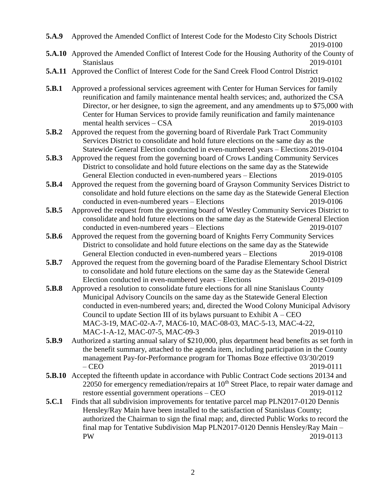**5.A.9** Approved the Amended Conflict of Interest Code for the Modesto City Schools District 2019-0100

- **5.A.10** Approved the Amended Conflict of Interest Code for the Housing Authority of the County of Stanislaus 2019-0101
- **5.A.11** Approved the Conflict of Interest Code for the Sand Creek Flood Control District 2019-0102
- **5.B.1** Approved a professional services agreement with Center for Human Services for family reunification and family maintenance mental health services; and, authorized the CSA Director, or her designee, to sign the agreement, and any amendments up to \$75,000 with Center for Human Services to provide family reunification and family maintenance mental health services – CSA 2019-0103
- **5.B.2** Approved the request from the governing board of Riverdale Park Tract Community Services District to consolidate and hold future elections on the same day as the Statewide General Election conducted in even-numbered years – Elections 2019-0104
- **5.B.3** Approved the request from the governing board of Crows Landing Community Services District to consolidate and hold future elections on the same day as the Statewide General Election conducted in even-numbered years – Elections 2019-0105
- **5.B.4** Approved the request from the governing board of Grayson Community Services District to consolidate and hold future elections on the same day as the Statewide General Election conducted in even-numbered years – Elections 2019-0106
- **5.B.5** Approved the request from the governing board of Westley Community Services District to consolidate and hold future elections on the same day as the Statewide General Election conducted in even-numbered years – Elections 2019-0107
- **5.B.6** Approved the request from the governing board of Knights Ferry Community Services District to consolidate and hold future elections on the same day as the Statewide General Election conducted in even-numbered years – Elections 2019-0108
- **5.B.7** Approved the request from the governing board of the Paradise Elementary School District to consolidate and hold future elections on the same day as the Statewide General Election conducted in even-numbered years – Elections 2019-0109
- **5.B.8** Approved a resolution to consolidate future elections for all nine Stanislaus County Municipal Advisory Councils on the same day as the Statewide General Election conducted in even-numbered years; and, directed the Wood Colony Municipal Advisory Council to update Section III of its bylaws pursuant to Exhibit  $A - CEO$ MAC-3-19, MAC-02-A-7, MAC6-10, MAC-08-03, MAC-5-13, MAC-4-22, MAC-1-A-12, MAC-07-5, MAC-09-3 2019-0110
- **5.B.9** Authorized a starting annual salary of \$210,000, plus department head benefits as set forth in the benefit summary, attached to the agenda item, including participation in the County management Pay-for-Performance program for Thomas Boze effective 03/30/2019 – CEO 2019-0111
- **5.B.10** Accepted the fifteenth update in accordance with Public Contract Code sections 20134 and 22050 for emergency remediation/repairs at  $10<sup>th</sup>$  Street Place, to repair water damage and restore essential government operations – CEO 2019-0112
- **5.C.1** Finds that all subdivision improvements for tentative parcel map PLN2017-0120 Dennis Hensley/Ray Main have been installed to the satisfaction of Stanislaus County; authorized the Chairman to sign the final map; and, directed Public Works to record the final map for Tentative Subdivision Map PLN2017-0120 Dennis Hensley/Ray Main – PW 2019-0113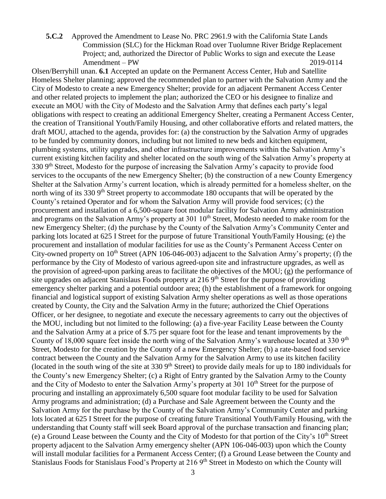**5.C.2** Approved the Amendment to Lease No. PRC 2961.9 with the California State Lands Commission (SLC) for the Hickman Road over Tuolumne River Bridge Replacement Project; and, authorized the Director of Public Works to sign and execute the Lease Amendment – PW 2019-0114

Olsen/Berryhill unan. **6.1** Accepted an update on the Permanent Access Center, Hub and Satellite Homeless Shelter planning; approved the recommended plan to partner with the Salvation Army and the City of Modesto to create a new Emergency Shelter; provide for an adjacent Permanent Access Center and other related projects to implement the plan; authorized the CEO or his designee to finalize and execute an MOU with the City of Modesto and the Salvation Army that defines each party's legal obligations with respect to creating an additional Emergency Shelter, creating a Permanent Access Center, the creation of Transitional Youth/Family Housing, and other collaborative efforts and related matters, the draft MOU, attached to the agenda, provides for: (a) the construction by the Salvation Army of upgrades to be funded by community donors, including but not limited to new beds and kitchen equipment, plumbing systems, utility upgrades, and other infrastructure improvements within the Salvation Army's current existing kitchen facility and shelter located on the south wing of the Salvation Army's property at 330 9<sup>th</sup> Street, Modesto for the purpose of increasing the Salvation Army's capacity to provide food services to the occupants of the new Emergency Shelter; (b) the construction of a new County Emergency Shelter at the Salvation Army's current location, which is already permitted for a homeless shelter, on the north wing of its 330 9<sup>th</sup> Street property to accommodate 180 occupants that will be operated by the County's retained Operator and for whom the Salvation Army will provide food services; (c) the procurement and installation of a 6,500-square foot modular facility for Salvation Army administration and programs on the Salvation Army's property at 301 10<sup>th</sup> Street, Modesto needed to make room for the new Emergency Shelter; (d) the purchase by the County of the Salvation Army's Community Center and parking lots located at 625 I Street for the purpose of future Transitional Youth/Family Housing; (e) the procurement and installation of modular facilities for use as the County's Permanent Access Center on City-owned property on  $10^{th}$  Street (APN 106-046-003) adjacent to the Salvation Army's property; (f) the performance by the City of Modesto of various agreed-upon site and infrastructure upgrades, as well as the provision of agreed-upon parking areas to facilitate the objectives of the MOU; (g) the performance of site upgrades on adjacent Stanislaus Foods property at 216 9<sup>th</sup> Street for the purpose of providing emergency shelter parking and a potential outdoor area; (h) the establishment of a framework for ongoing financial and logistical support of existing Salvation Army shelter operations as well as those operations created by County, the City and the Salvation Army in the future; authorized the Chief Operations Officer, or her designee, to negotiate and execute the necessary agreements to carry out the objectives of the MOU, including but not limited to the following: (a) a five-year Facility Lease between the County and the Salvation Army at a price of \$.75 per square foot for the lease and tenant improvements by the County of 18,000 square feet inside the north wing of the Salvation Army's warehouse located at 330 9<sup>th</sup> Street, Modesto for the creation by the County of a new Emergency Shelter; (b) a rate-based food service contract between the County and the Salvation Army for the Salvation Army to use its kitchen facility (located in the south wing of the site at  $330\frac{\text{gh}}{\text{Stree}}$ ) to provide daily meals for up to 180 individuals for the County's new Emergency Shelter; (c) a Right of Entry granted by the Salvation Army to the County and the City of Modesto to enter the Salvation Army's property at 301 10<sup>th</sup> Street for the purpose of procuring and installing an approximately 6,500 square foot modular facility to be used for Salvation Army programs and administration; (d) a Purchase and Sale Agreement between the County and the Salvation Army for the purchase by the County of the Salvation Army's Community Center and parking lots located at 625 I Street for the purpose of creating future Transitional Youth/Family Housing, with the understanding that County staff will seek Board approval of the purchase transaction and financing plan; (e) a Ground Lease between the County and the City of Modesto for that portion of the City's  $10<sup>th</sup>$  Street property adjacent to the Salvation Army emergency shelter (APN 106-046-003) upon which the County will install modular facilities for a Permanent Access Center; (f) a Ground Lease between the County and Stanislaus Foods for Stanislaus Food's Property at 216 9<sup>th</sup> Street in Modesto on which the County will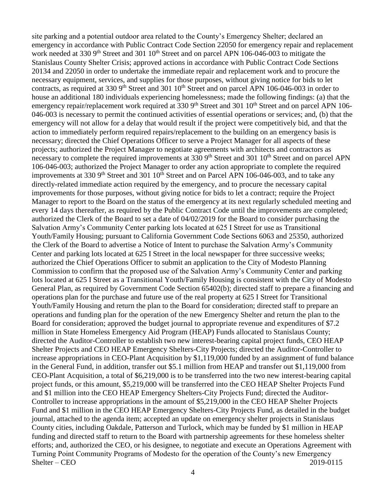site parking and a potential outdoor area related to the County's Emergency Shelter; declared an emergency in accordance with Public Contract Code Section 22050 for emergency repair and replacement work needed at 330 9<sup>th</sup> Street and 301 10<sup>th</sup> Street and on parcel APN 106-046-003 to mitigate the Stanislaus County Shelter Crisis; approved actions in accordance with Public Contract Code Sections 20134 and 22050 in order to undertake the immediate repair and replacement work and to procure the necessary equipment, services, and supplies for those purposes, without giving notice for bids to let contracts, as required at 330 9<sup>th</sup> Street and 301 10<sup>th</sup> Street and on parcel APN 106-046-003 in order to house an additional 180 individuals experiencing homelessness; made the following findings: (a) that the emergency repair/replacement work required at  $3309<sup>th</sup>$  Street and  $30110<sup>th</sup>$  Street and on parcel APN 106-046-003 is necessary to permit the continued activities of essential operations or services; and, (b) that the emergency will not allow for a delay that would result if the project were competitively bid, and that the action to immediately perform required repairs/replacement to the building on an emergency basis is necessary; directed the Chief Operations Officer to serve a Project Manager for all aspects of these projects; authorized the Project Manager to negotiate agreements with architects and contractors as necessary to complete the required improvements at 330 9<sup>th</sup> Street and 301 10<sup>th</sup> Street and on parcel APN 106-046-003; authorized the Project Manager to order any action appropriate to complete the required improvements at 330  $9<sup>th</sup>$  Street and 301  $10<sup>th</sup>$  Street and on Parcel APN 106-046-003, and to take any directly-related immediate action required by the emergency, and to procure the necessary capital improvements for those purposes, without giving notice for bids to let a contract; require the Project Manager to report to the Board on the status of the emergency at its next regularly scheduled meeting and every 14 days thereafter, as required by the Public Contract Code until the improvements are completed; authorized the Clerk of the Board to set a date of 04/02/2019 for the Board to consider purchasing the Salvation Army's Community Center parking lots located at 625 I Street for use as Transitional Youth/Family Housing; pursuant to California Government Code Sections 6063 and 25350, authorized the Clerk of the Board to advertise a Notice of Intent to purchase the Salvation Army's Community Center and parking lots located at 625 I Street in the local newspaper for three successive weeks; authorized the Chief Operations Officer to submit an application to the City of Modesto Planning Commission to confirm that the proposed use of the Salvation Army's Community Center and parking lots located at 625 I Street as a Transitional Youth/Family Housing is consistent with the City of Modesto General Plan, as required by Government Code Section 65402(b); directed staff to prepare a financing and operations plan for the purchase and future use of the real property at 625 I Street for Transitional Youth/Family Housing and return the plan to the Board for consideration; directed staff to prepare an operations and funding plan for the operation of the new Emergency Shelter and return the plan to the Board for consideration; approved the budget journal to appropriate revenue and expenditures of \$7.2 million in State Homeless Emergency Aid Program (HEAP) Funds allocated to Stanislaus County; directed the Auditor-Controller to establish two new interest-bearing capital project funds, CEO HEAP Shelter Projects and CEO HEAP Emergency Shelters-City Projects; directed the Auditor-Controller to increase appropriations in CEO-Plant Acquisition by \$1,119,000 funded by an assignment of fund balance in the General Fund, in addition, transfer out \$5.1 million from HEAP and transfer out \$1,119,000 from CEO-Plant Acquisition, a total of \$6,219,000 is to be transferred into the two new interest-bearing capital project funds, or this amount, \$5,219,000 will be transferred into the CEO HEAP Shelter Projects Fund and \$1 million into the CEO HEAP Emergency Shelters-City Projects Fund; directed the Auditor-Controller to increase appropriations in the amount of \$5,219,000 in the CEO HEAP Shelter Projects Fund and \$1 million in the CEO HEAP Emergency Shelters-City Projects Fund, as detailed in the budget journal, attached to the agenda item; accepted an update on emergency shelter projects in Stanislaus County cities, including Oakdale, Patterson and Turlock, which may be funded by \$1 million in HEAP funding and directed staff to return to the Board with partnership agreements for these homeless shelter efforts; and, authorized the CEO, or his designee, to negotiate and execute an Operations Agreement with Turning Point Community Programs of Modesto for the operation of the County's new Emergency Shelter – CEO 2019-0115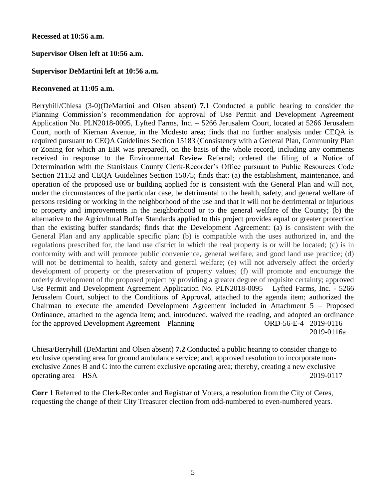## **Recessed at 10:56 a.m.**

# **Supervisor Olsen left at 10:56 a.m.**

## **Supervisor DeMartini left at 10:56 a.m.**

#### **Reconvened at 11:05 a.m.**

Berryhill/Chiesa (3-0)(DeMartini and Olsen absent) **7.1** Conducted a public hearing to consider the Planning Commission's recommendation for approval of Use Permit and Development Agreement Application No. PLN2018-0095, Lyfted Farms, Inc. – 5266 Jerusalem Court, located at 5266 Jerusalem Court, north of Kiernan Avenue, in the Modesto area; finds that no further analysis under CEQA is required pursuant to CEQA Guidelines Section 15183 (Consistency with a General Plan, Community Plan or Zoning for which an EIR was prepared), on the basis of the whole record, including any comments received in response to the Environmental Review Referral; ordered the filing of a Notice of Determination with the Stanislaus County Clerk-Recorder's Office pursuant to Public Resources Code Section 21152 and CEQA Guidelines Section 15075; finds that: (a) the establishment, maintenance, and operation of the proposed use or building applied for is consistent with the General Plan and will not, under the circumstances of the particular case, be detrimental to the health, safety, and general welfare of persons residing or working in the neighborhood of the use and that it will not be detrimental or injurious to property and improvements in the neighborhood or to the general welfare of the County; (b) the alternative to the Agricultural Buffer Standards applied to this project provides equal or greater protection than the existing buffer standards; finds that the Development Agreement: (a) is consistent with the General Plan and any applicable specific plan; (b) is compatible with the uses authorized in, and the regulations prescribed for, the land use district in which the real property is or will be located; (c) is in conformity with and will promote public convenience, general welfare, and good land use practice; (d) will not be detrimental to health, safety and general welfare; (e) will not adversely affect the orderly development of property or the preservation of property values; (f) will promote and encourage the orderly development of the proposed project by providing a greater degree of requisite certainty; approved Use Permit and Development Agreement Application No. PLN2018-0095 – Lyfted Farms, Inc. - 5266 Jerusalem Court, subject to the Conditions of Approval, attached to the agenda item; authorized the Chairman to execute the amended Development Agreement included in Attachment 5 – Proposed Ordinance, attached to the agenda item; and, introduced, waived the reading, and adopted an ordinance for the approved Development Agreement – Planning ORD-56-E-4 2019-0116 2019-0116a

Chiesa/Berryhill (DeMartini and Olsen absent) **7.2** Conducted a public hearing to consider change to exclusive operating area for ground ambulance service; and, approved resolution to incorporate nonexclusive Zones B and C into the current exclusive operating area; thereby, creating a new exclusive operating area – HSA 2019-0117

**Corr 1** Referred to the Clerk-Recorder and Registrar of Voters, a resolution from the City of Ceres, requesting the change of their City Treasurer election from odd-numbered to even-numbered years.